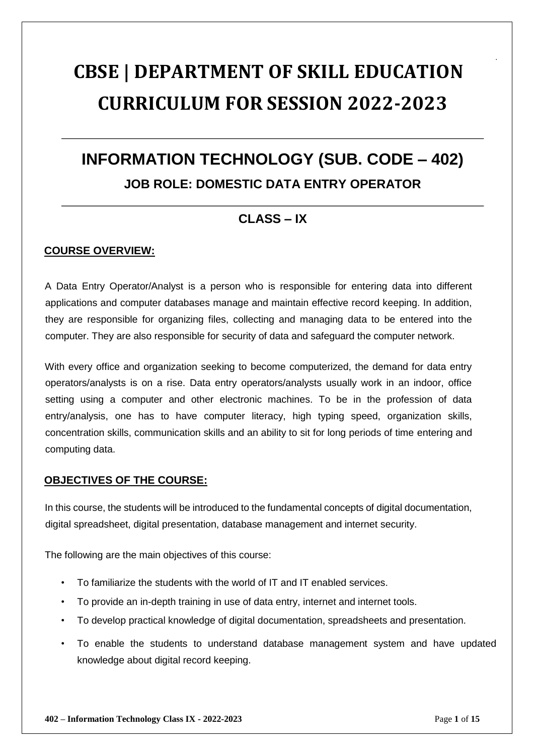# **CBSE | DEPARTMENT OF SKILL EDUCATION CURRICULUM FOR SESSION 2022-2023**

## **INFORMATION TECHNOLOGY (SUB. CODE – 402) JOB ROLE: DOMESTIC DATA ENTRY OPERATOR**

### **CLASS – IX**

### **COURSE OVERVIEW:**

A Data Entry Operator/Analyst is a person who is responsible for entering data into different applications and computer databases manage and maintain effective record keeping. In addition, they are responsible for organizing files, collecting and managing data to be entered into the computer. They are also responsible for security of data and safeguard the computer network.

With every office and organization seeking to become computerized, the demand for data entry operators/analysts is on a rise. Data entry operators/analysts usually work in an indoor, office setting using a computer and other electronic machines. To be in the profession of data entry/analysis, one has to have computer literacy, high typing speed, organization skills, concentration skills, communication skills and an ability to sit for long periods of time entering and computing data.

#### **OBJECTIVES OF THE COURSE:**

In this course, the students will be introduced to the fundamental concepts of digital documentation, digital spreadsheet, digital presentation, database management and internet security.

The following are the main objectives of this course:

- To familiarize the students with the world of IT and IT enabled services.
- To provide an in-depth training in use of data entry, internet and internet tools.
- To develop practical knowledge of digital documentation, spreadsheets and presentation.
- To enable the students to understand database management system and have updated knowledge about digital record keeping.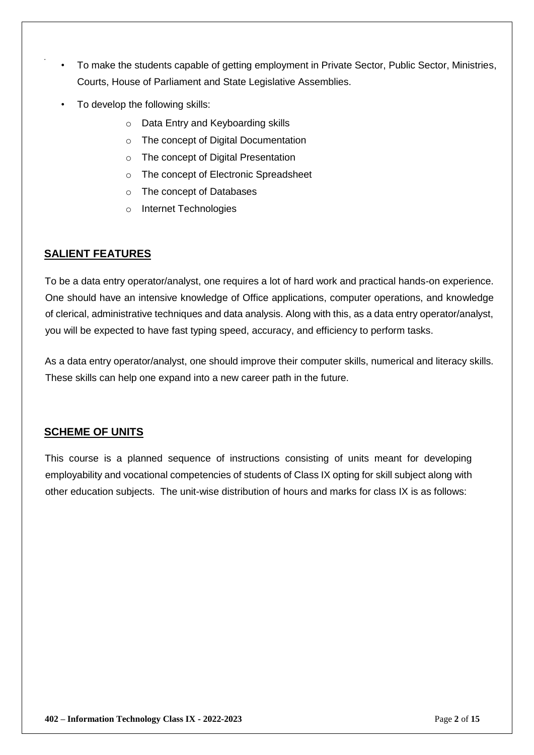- To make the students capable of getting employment in Private Sector, Public Sector, Ministries, Courts, House of Parliament and State Legislative Assemblies.
- To develop the following skills:
	- o Data Entry and Keyboarding skills
	- o The concept of Digital Documentation
	- o The concept of Digital Presentation
	- o The concept of Electronic Spreadsheet
	- o The concept of Databases
	- o Internet Technologies

### **SALIENT FEATURES**

To be a data entry operator/analyst, one requires a lot of hard work and practical hands-on experience. One should have an intensive knowledge of Office applications, computer operations, and knowledge of clerical, administrative techniques and data analysis. Along with this, as a data entry operator/analyst, you will be expected to have fast typing speed, accuracy, and efficiency to perform tasks.

As a data entry operator/analyst, one should improve their computer skills, numerical and literacy skills. These skills can help one expand into a new career path in the future.

### **SCHEME OF UNITS**

This course is a planned sequence of instructions consisting of units meant for developing employability and vocational competencies of students of Class IX opting for skill subject along with other education subjects. The unit-wise distribution of hours and marks for class IX is as follows: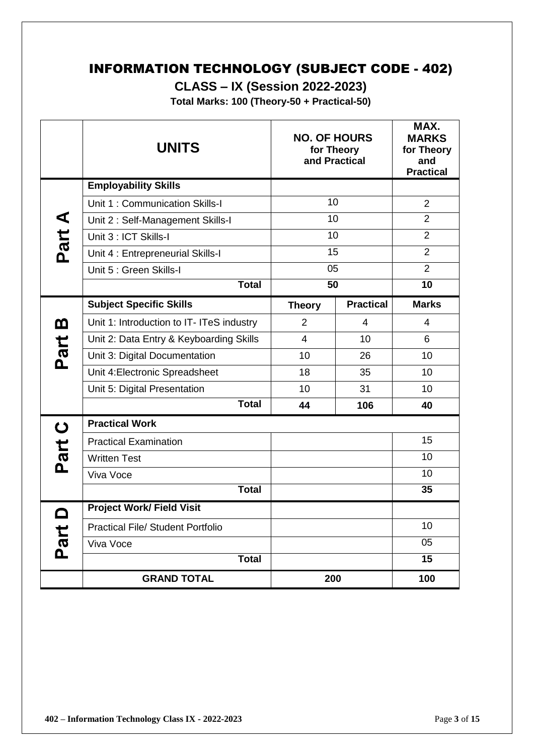### INFORMATION TECHNOLOGY (SUBJECT CODE - 402)

**CLASS – IX (Session 2022-2023)** 

**Total Marks: 100 (Theory-50 + Practical-50)** 

|             | <b>UNITS</b>                              | <b>NO. OF HOURS</b><br>for Theory<br>and Practical |                  | MAX.<br><b>MARKS</b><br>for Theory<br>and<br><b>Practical</b> |
|-------------|-------------------------------------------|----------------------------------------------------|------------------|---------------------------------------------------------------|
|             | <b>Employability Skills</b>               |                                                    |                  |                                                               |
|             | Unit 1: Communication Skills-I            | 10                                                 |                  | $\overline{2}$                                                |
| Part A      | Unit 2: Self-Management Skills-I          | 10                                                 |                  | $\overline{2}$                                                |
|             | Unit 3 : ICT Skills-I                     | 10                                                 |                  | $\overline{2}$                                                |
|             | Unit 4 : Entrepreneurial Skills-I         | 15                                                 |                  | $\overline{2}$                                                |
|             | Unit 5 : Green Skills-I                   | 05                                                 |                  | $\overline{2}$                                                |
|             | <b>Total</b>                              | 50                                                 |                  | 10                                                            |
|             | <b>Subject Specific Skills</b>            | <b>Theory</b>                                      | <b>Practical</b> | <b>Marks</b>                                                  |
| <u>ന</u>    | Unit 1: Introduction to IT- ITeS industry | $\overline{2}$                                     | 4                | 4                                                             |
|             | Unit 2: Data Entry & Keyboarding Skills   | $\overline{4}$                                     | 10               | 6                                                             |
| Part        | Unit 3: Digital Documentation             | 10 <sup>1</sup>                                    | 26               | 10                                                            |
|             | Unit 4: Electronic Spreadsheet            | 18                                                 | 35               | 10                                                            |
|             | Unit 5: Digital Presentation              | 10                                                 | 31               | 10                                                            |
|             | <b>Total</b>                              | 44                                                 | 106              | 40                                                            |
| $\mathbf C$ | <b>Practical Work</b>                     |                                                    |                  |                                                               |
|             | <b>Practical Examination</b>              |                                                    |                  | 15                                                            |
| Part        | <b>Written Test</b>                       |                                                    |                  | 10                                                            |
|             | Viva Voce                                 |                                                    |                  | 10                                                            |
|             | <b>Total</b>                              |                                                    |                  | 35                                                            |
|             | <b>Project Work/ Field Visit</b>          |                                                    |                  |                                                               |
|             | <b>Practical File/ Student Portfolio</b>  |                                                    |                  | 10                                                            |
| Part        | Viva Voce                                 |                                                    |                  | 05                                                            |
|             | <b>Total</b>                              |                                                    |                  | 15                                                            |
|             | <b>GRAND TOTAL</b>                        | 200                                                |                  | 100                                                           |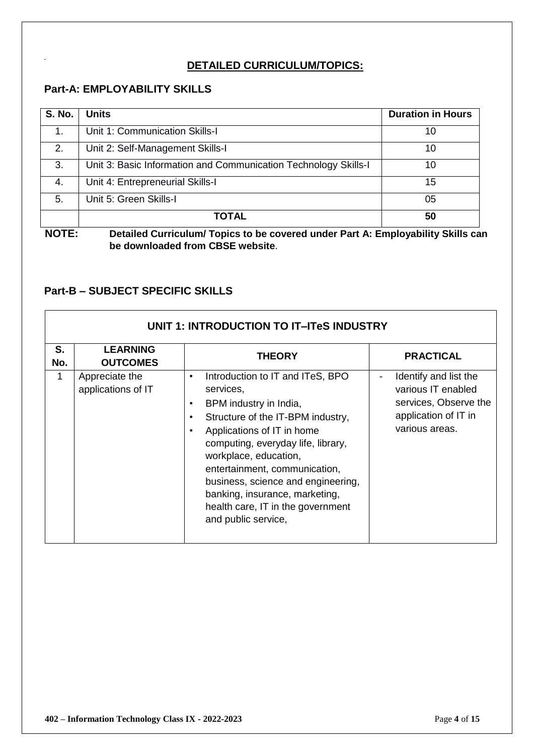### **DETAILED CURRICULUM/TOPICS:**

### **Part-A: EMPLOYABILITY SKILLS**

| <b>S. No.</b> | <b>Units</b>                                                    | <b>Duration in Hours</b> |
|---------------|-----------------------------------------------------------------|--------------------------|
| 1.            | Unit 1: Communication Skills-I                                  | 10                       |
| 2.            | Unit 2: Self-Management Skills-I                                | 10                       |
| 3.            | Unit 3: Basic Information and Communication Technology Skills-I | 10                       |
| 4.            | Unit 4: Entrepreneurial Skills-I                                | 15                       |
| 5.            | Unit 5: Green Skills-I                                          | 05                       |
|               | <b>TOTAL</b>                                                    | 50                       |

**NOTE: Detailed Curriculum/ Topics to be covered under Part A: Employability Skills can be downloaded from CBSE website**.

### **Part-B – SUBJECT SPECIFIC SKILLS**

|              | UNIT 1: INTRODUCTION TO IT-ITeS INDUSTRY |                                                                                                                                                                                                                                                                                                                                                                                                                                    |                                                                                                                     |  |
|--------------|------------------------------------------|------------------------------------------------------------------------------------------------------------------------------------------------------------------------------------------------------------------------------------------------------------------------------------------------------------------------------------------------------------------------------------------------------------------------------------|---------------------------------------------------------------------------------------------------------------------|--|
| S.<br>No.    | <b>LEARNING</b><br><b>OUTCOMES</b>       | <b>THEORY</b>                                                                                                                                                                                                                                                                                                                                                                                                                      | <b>PRACTICAL</b>                                                                                                    |  |
| $\mathbf{1}$ | Appreciate the<br>applications of IT     | Introduction to IT and ITeS, BPO<br>$\bullet$<br>services,<br>BPM industry in India,<br>$\bullet$<br>Structure of the IT-BPM industry,<br>$\bullet$<br>Applications of IT in home<br>$\bullet$<br>computing, everyday life, library,<br>workplace, education,<br>entertainment, communication,<br>business, science and engineering,<br>banking, insurance, marketing,<br>health care, IT in the government<br>and public service, | Identify and list the<br>-<br>various IT enabled<br>services, Observe the<br>application of IT in<br>various areas. |  |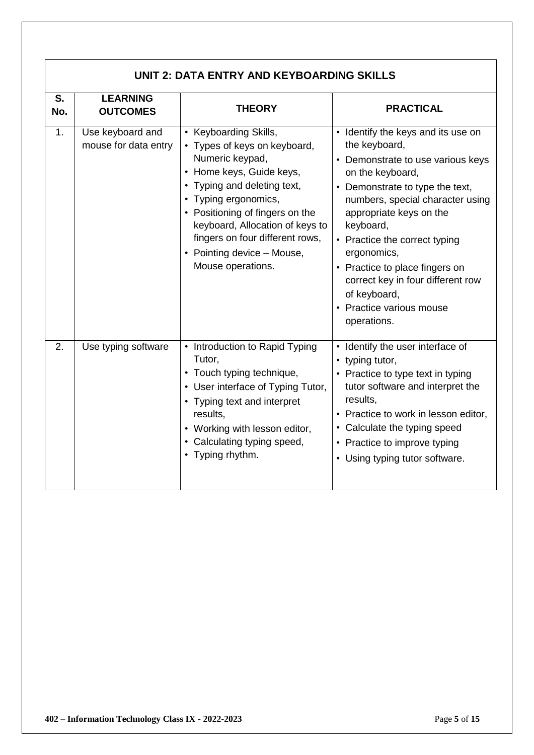|           | UNIT 2: DATA ENTRY AND KEYBOARDING SKILLS |                                                                                                                                                                                                                                                                                                                         |                                                                                                                                                                                                                                                                                                                                                                                                               |  |
|-----------|-------------------------------------------|-------------------------------------------------------------------------------------------------------------------------------------------------------------------------------------------------------------------------------------------------------------------------------------------------------------------------|---------------------------------------------------------------------------------------------------------------------------------------------------------------------------------------------------------------------------------------------------------------------------------------------------------------------------------------------------------------------------------------------------------------|--|
| S.<br>No. | <b>LEARNING</b><br><b>OUTCOMES</b>        | <b>THEORY</b>                                                                                                                                                                                                                                                                                                           | <b>PRACTICAL</b>                                                                                                                                                                                                                                                                                                                                                                                              |  |
| 1.        | Use keyboard and<br>mouse for data entry  | • Keyboarding Skills,<br>• Types of keys on keyboard,<br>Numeric keypad,<br>• Home keys, Guide keys,<br>• Typing and deleting text,<br>• Typing ergonomics,<br>• Positioning of fingers on the<br>keyboard, Allocation of keys to<br>fingers on four different rows,<br>• Pointing device - Mouse,<br>Mouse operations. | • Identify the keys and its use on<br>the keyboard,<br>• Demonstrate to use various keys<br>on the keyboard,<br>• Demonstrate to type the text,<br>numbers, special character using<br>appropriate keys on the<br>keyboard,<br>• Practice the correct typing<br>ergonomics,<br>• Practice to place fingers on<br>correct key in four different row<br>of keyboard,<br>• Practice various mouse<br>operations. |  |
| 2.        | Use typing software                       | • Introduction to Rapid Typing<br>Tutor,<br>• Touch typing technique,<br>• User interface of Typing Tutor,<br>• Typing text and interpret<br>results,<br>• Working with lesson editor,<br>• Calculating typing speed,<br>• Typing rhythm.                                                                               | • Identify the user interface of<br>• typing tutor,<br>• Practice to type text in typing<br>tutor software and interpret the<br>results,<br>• Practice to work in lesson editor,<br>• Calculate the typing speed<br>• Practice to improve typing<br>• Using typing tutor software.                                                                                                                            |  |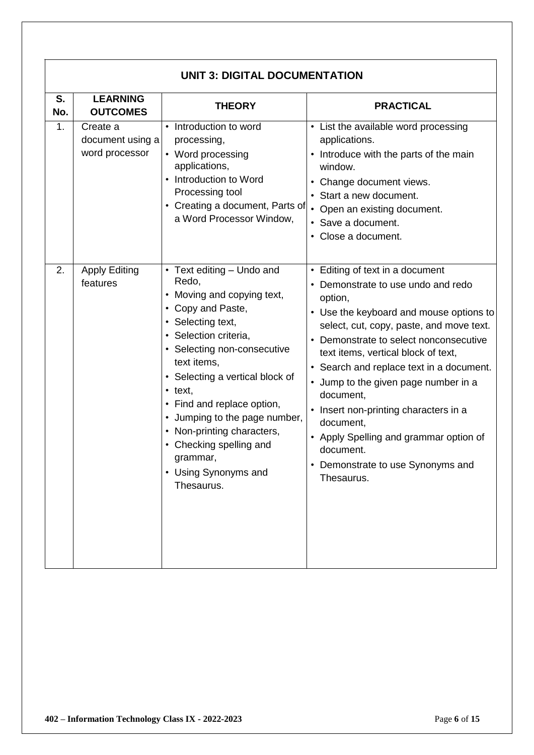|           | <b>UNIT 3: DIGITAL DOCUMENTATION</b>           |                                                                                                                                                                                                                                                                                                                                                                                                                 |                                                                                                                                                                                                                                                                                                                                                                                                                                                                                                                         |  |
|-----------|------------------------------------------------|-----------------------------------------------------------------------------------------------------------------------------------------------------------------------------------------------------------------------------------------------------------------------------------------------------------------------------------------------------------------------------------------------------------------|-------------------------------------------------------------------------------------------------------------------------------------------------------------------------------------------------------------------------------------------------------------------------------------------------------------------------------------------------------------------------------------------------------------------------------------------------------------------------------------------------------------------------|--|
| S.<br>No. | <b>LEARNING</b><br><b>OUTCOMES</b>             | <b>THEORY</b>                                                                                                                                                                                                                                                                                                                                                                                                   | <b>PRACTICAL</b>                                                                                                                                                                                                                                                                                                                                                                                                                                                                                                        |  |
| 1.        | Create a<br>document using a<br>word processor | • Introduction to word<br>processing,<br>• Word processing<br>applications,<br>• Introduction to Word<br>Processing tool<br>• Creating a document, Parts of<br>a Word Processor Window,                                                                                                                                                                                                                         | • List the available word processing<br>applications.<br>• Introduce with the parts of the main<br>window.<br>• Change document views.<br>• Start a new document.<br>• Open an existing document.<br>• Save a document.<br>• Close a document.                                                                                                                                                                                                                                                                          |  |
| 2.        | <b>Apply Editing</b><br>features               | • Text editing - Undo and<br>Redo,<br>• Moving and copying text,<br>• Copy and Paste,<br>• Selecting text,<br>· Selection criteria,<br>• Selecting non-consecutive<br>text items,<br>• Selecting a vertical block of<br>$\cdot$ text,<br>• Find and replace option,<br>• Jumping to the page number,<br>• Non-printing characters,<br>• Checking spelling and<br>grammar,<br>• Using Synonyms and<br>Thesaurus. | • Editing of text in a document<br>• Demonstrate to use undo and redo<br>option,<br>• Use the keyboard and mouse options to<br>select, cut, copy, paste, and move text.<br>• Demonstrate to select nonconsecutive<br>text items, vertical block of text,<br>• Search and replace text in a document.<br>• Jump to the given page number in a<br>document,<br>• Insert non-printing characters in a<br>document,<br>• Apply Spelling and grammar option of<br>document.<br>Demonstrate to use Synonyms and<br>Thesaurus. |  |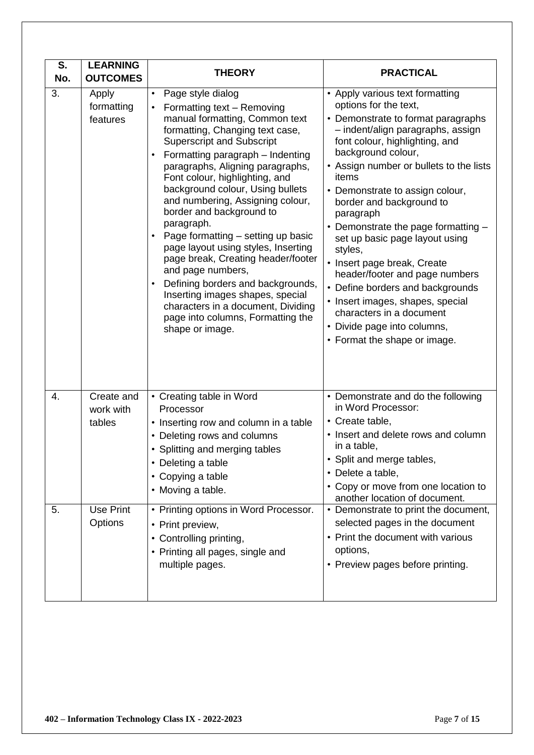| S.<br>No. | <b>LEARNING</b><br><b>OUTCOMES</b> | <b>THEORY</b>                                                                                                                                                                                                                                                                                                                                                                                                                                                                                                                                                                                                                                                                                                    | <b>PRACTICAL</b>                                                                                                                                                                                                                                                                                                                                                                                                                                                                                                                                                                                                                                    |
|-----------|------------------------------------|------------------------------------------------------------------------------------------------------------------------------------------------------------------------------------------------------------------------------------------------------------------------------------------------------------------------------------------------------------------------------------------------------------------------------------------------------------------------------------------------------------------------------------------------------------------------------------------------------------------------------------------------------------------------------------------------------------------|-----------------------------------------------------------------------------------------------------------------------------------------------------------------------------------------------------------------------------------------------------------------------------------------------------------------------------------------------------------------------------------------------------------------------------------------------------------------------------------------------------------------------------------------------------------------------------------------------------------------------------------------------------|
| 3.        | Apply<br>formatting<br>features    | Page style dialog<br>Formatting text - Removing<br>$\bullet$<br>manual formatting, Common text<br>formatting, Changing text case,<br><b>Superscript and Subscript</b><br>Formatting paragraph - Indenting<br>paragraphs, Aligning paragraphs,<br>Font colour, highlighting, and<br>background colour, Using bullets<br>and numbering, Assigning colour,<br>border and background to<br>paragraph.<br>Page formatting - setting up basic<br>page layout using styles, Inserting<br>page break, Creating header/footer<br>and page numbers,<br>Defining borders and backgrounds,<br>Inserting images shapes, special<br>characters in a document, Dividing<br>page into columns, Formatting the<br>shape or image. | • Apply various text formatting<br>options for the text,<br>• Demonstrate to format paragraphs<br>- indent/align paragraphs, assign<br>font colour, highlighting, and<br>background colour,<br>• Assign number or bullets to the lists<br>items<br>• Demonstrate to assign colour,<br>border and background to<br>paragraph<br>• Demonstrate the page formatting -<br>set up basic page layout using<br>styles,<br>• Insert page break, Create<br>header/footer and page numbers<br>• Define borders and backgrounds<br>• Insert images, shapes, special<br>characters in a document<br>• Divide page into columns,<br>• Format the shape or image. |
| 4.        | Create and<br>work with<br>tables  | • Creating table in Word<br>Processor<br>• Inserting row and column in a table<br>• Deleting rows and columns<br>• Splitting and merging tables<br>• Deleting a table<br>• Copying a table<br>• Moving a table.                                                                                                                                                                                                                                                                                                                                                                                                                                                                                                  | • Demonstrate and do the following<br>in Word Processor:<br>• Create table,<br>• Insert and delete rows and column<br>in a table,<br>Split and merge tables,<br>• Delete a table,<br>• Copy or move from one location to<br>another location of document.                                                                                                                                                                                                                                                                                                                                                                                           |
| 5.        | Use Print<br>Options               | • Printing options in Word Processor.<br>• Print preview,<br>• Controlling printing,<br>• Printing all pages, single and<br>multiple pages.                                                                                                                                                                                                                                                                                                                                                                                                                                                                                                                                                                      | • Demonstrate to print the document,<br>selected pages in the document<br>• Print the document with various<br>options,<br>• Preview pages before printing.                                                                                                                                                                                                                                                                                                                                                                                                                                                                                         |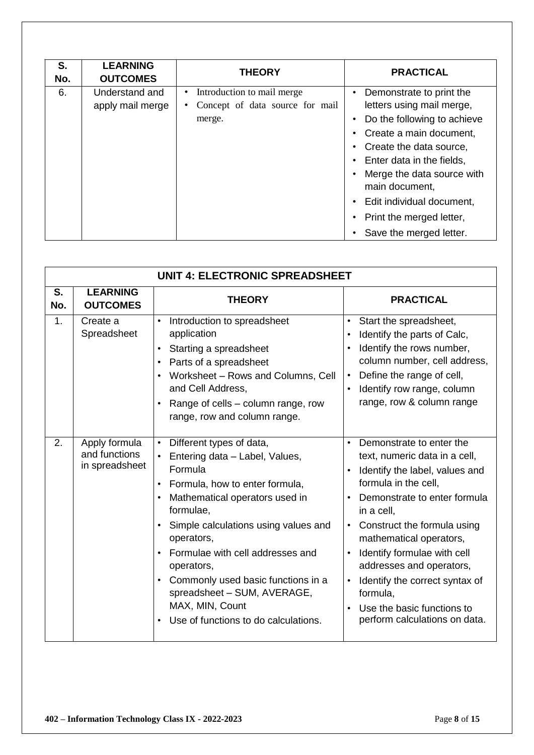| S.<br>No. | <b>LEARNING</b><br><b>OUTCOMES</b> | <b>THEORY</b>                           | <b>PRACTICAL</b>            |  |
|-----------|------------------------------------|-----------------------------------------|-----------------------------|--|
| 6.        | Understand and                     | Introduction to mail merge<br>$\bullet$ | Demonstrate to print the    |  |
|           | apply mail merge                   | Concept of data source for mail         | letters using mail merge,   |  |
|           |                                    | merge.                                  | Do the following to achieve |  |
|           |                                    |                                         | Create a main document,     |  |
|           |                                    |                                         | Create the data source,     |  |
|           |                                    |                                         | Enter data in the fields,   |  |
|           |                                    |                                         | Merge the data source with  |  |
|           |                                    |                                         | main document,              |  |
|           |                                    |                                         | Edit individual document,   |  |
|           |                                    |                                         | Print the merged letter,    |  |
|           |                                    |                                         | Save the merged letter.     |  |

|           | <b>UNIT 4: ELECTRONIC SPREADSHEET</b>            |                                                                                                                                                                                                                                                                                                                                                                                                                                         |                                                                                                                                                                                                                                                                                                                                                                                                                               |  |
|-----------|--------------------------------------------------|-----------------------------------------------------------------------------------------------------------------------------------------------------------------------------------------------------------------------------------------------------------------------------------------------------------------------------------------------------------------------------------------------------------------------------------------|-------------------------------------------------------------------------------------------------------------------------------------------------------------------------------------------------------------------------------------------------------------------------------------------------------------------------------------------------------------------------------------------------------------------------------|--|
| S.<br>No. | <b>LEARNING</b><br><b>OUTCOMES</b>               | <b>THEORY</b>                                                                                                                                                                                                                                                                                                                                                                                                                           | <b>PRACTICAL</b>                                                                                                                                                                                                                                                                                                                                                                                                              |  |
| 1.        | Create a<br>Spreadsheet                          | Introduction to spreadsheet<br>$\bullet$<br>application<br>Starting a spreadsheet<br>$\bullet$<br>Parts of a spreadsheet<br>Worksheet - Rows and Columns, Cell<br>and Cell Address,<br>Range of cells – column range, row<br>range, row and column range.                                                                                                                                                                               | Start the spreadsheet,<br>$\bullet$<br>Identify the parts of Calc,<br>Identify the rows number,<br>column number, cell address,<br>Define the range of cell,<br>$\bullet$<br>Identify row range, column<br>$\bullet$<br>range, row & column range                                                                                                                                                                             |  |
| 2.        | Apply formula<br>and functions<br>in spreadsheet | Different types of data,<br>$\bullet$<br>Entering data - Label, Values,<br>Formula<br>• Formula, how to enter formula,<br>Mathematical operators used in<br>formulae,<br>Simple calculations using values and<br>operators,<br>Formulae with cell addresses and<br>operators,<br>Commonly used basic functions in a<br>$\bullet$<br>spreadsheet - SUM, AVERAGE,<br>MAX, MIN, Count<br>Use of functions to do calculations.<br>$\bullet$ | Demonstrate to enter the<br>text, numeric data in a cell,<br>Identify the label, values and<br>formula in the cell,<br>Demonstrate to enter formula<br>in a cell,<br>Construct the formula using<br>$\bullet$<br>mathematical operators,<br>Identify formulae with cell<br>addresses and operators,<br>Identify the correct syntax of<br>$\bullet$<br>formula,<br>Use the basic functions to<br>perform calculations on data. |  |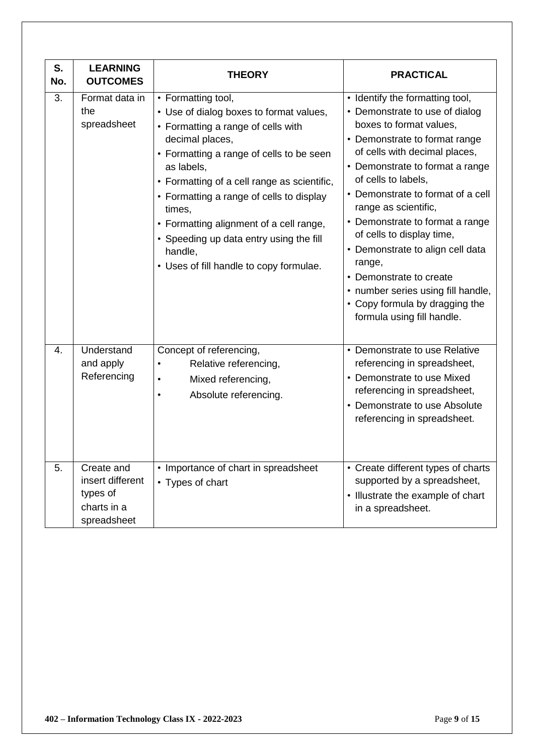| S.<br>No. | <b>LEARNING</b><br><b>OUTCOMES</b>                                       | <b>THEORY</b>                                                                                                                                                                                                                                                                                                                                                                                                                     | <b>PRACTICAL</b>                                                                                                                                                                                                                                                                                                                                                                                                                                                                                                                     |
|-----------|--------------------------------------------------------------------------|-----------------------------------------------------------------------------------------------------------------------------------------------------------------------------------------------------------------------------------------------------------------------------------------------------------------------------------------------------------------------------------------------------------------------------------|--------------------------------------------------------------------------------------------------------------------------------------------------------------------------------------------------------------------------------------------------------------------------------------------------------------------------------------------------------------------------------------------------------------------------------------------------------------------------------------------------------------------------------------|
| 3.        | Format data in<br>the<br>spreadsheet                                     | • Formatting tool,<br>• Use of dialog boxes to format values,<br>• Formatting a range of cells with<br>decimal places,<br>• Formatting a range of cells to be seen<br>as labels,<br>• Formatting of a cell range as scientific,<br>• Formatting a range of cells to display<br>times,<br>• Formatting alignment of a cell range,<br>• Speeding up data entry using the fill<br>handle,<br>• Uses of fill handle to copy formulae. | • Identify the formatting tool,<br>• Demonstrate to use of dialog<br>boxes to format values,<br>• Demonstrate to format range<br>of cells with decimal places,<br>• Demonstrate to format a range<br>of cells to labels,<br>• Demonstrate to format of a cell<br>range as scientific,<br>• Demonstrate to format a range<br>of cells to display time,<br>• Demonstrate to align cell data<br>range,<br>• Demonstrate to create<br>• number series using fill handle,<br>• Copy formula by dragging the<br>formula using fill handle. |
| 4.        | Understand<br>and apply<br>Referencing                                   | Concept of referencing,<br>Relative referencing,<br>Mixed referencing,<br>$\bullet$<br>Absolute referencing.<br>$\bullet$                                                                                                                                                                                                                                                                                                         | • Demonstrate to use Relative<br>referencing in spreadsheet,<br>• Demonstrate to use Mixed<br>referencing in spreadsheet,<br>• Demonstrate to use Absolute<br>referencing in spreadsheet.                                                                                                                                                                                                                                                                                                                                            |
| 5.        | Create and<br>insert different<br>types of<br>charts in a<br>spreadsheet | • Importance of chart in spreadsheet<br>• Types of chart                                                                                                                                                                                                                                                                                                                                                                          | • Create different types of charts<br>supported by a spreadsheet,<br>• Illustrate the example of chart<br>in a spreadsheet.                                                                                                                                                                                                                                                                                                                                                                                                          |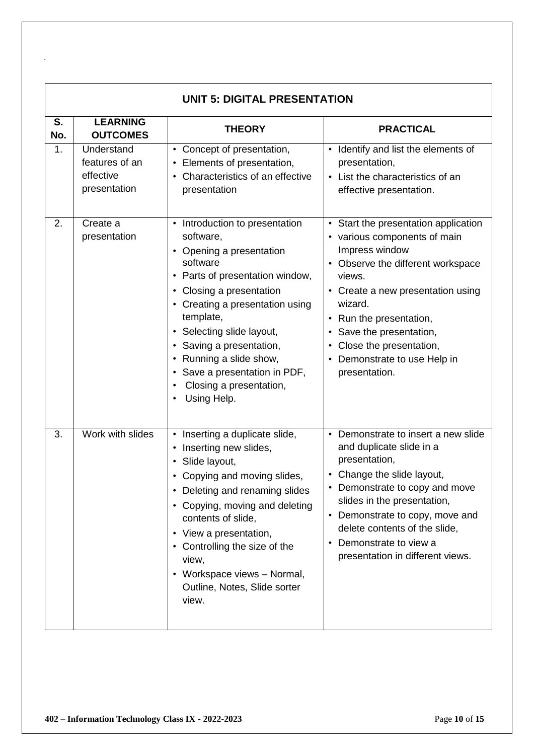| <b>UNIT 5: DIGITAL PRESENTATION</b> |                                                           |                                                                                                                                                                                                                                                                                                                                                                                 |                                                                                                                                                                                                                                                                                                                                      |
|-------------------------------------|-----------------------------------------------------------|---------------------------------------------------------------------------------------------------------------------------------------------------------------------------------------------------------------------------------------------------------------------------------------------------------------------------------------------------------------------------------|--------------------------------------------------------------------------------------------------------------------------------------------------------------------------------------------------------------------------------------------------------------------------------------------------------------------------------------|
| S.<br>No.                           | <b>LEARNING</b><br><b>OUTCOMES</b>                        | <b>THEORY</b>                                                                                                                                                                                                                                                                                                                                                                   | <b>PRACTICAL</b>                                                                                                                                                                                                                                                                                                                     |
| 1.                                  | Understand<br>features of an<br>effective<br>presentation | • Concept of presentation,<br>Elements of presentation,<br>$\bullet$<br>Characteristics of an effective<br>presentation                                                                                                                                                                                                                                                         | Identify and list the elements of<br>$\bullet$<br>presentation,<br>• List the characteristics of an<br>effective presentation.                                                                                                                                                                                                       |
| 2.                                  | Create a<br>presentation                                  | • Introduction to presentation<br>software,<br>• Opening a presentation<br>software<br>Parts of presentation window,<br>$\bullet$<br>Closing a presentation<br>Creating a presentation using<br>$\bullet$<br>template,<br>• Selecting slide layout,<br>Saving a presentation,<br>Running a slide show,<br>Save a presentation in PDF,<br>Closing a presentation,<br>Using Help. | • Start the presentation application<br>• various components of main<br>Impress window<br>• Observe the different workspace<br>views.<br>• Create a new presentation using<br>wizard.<br>Run the presentation,<br>Save the presentation,<br>Close the presentation,<br>$\bullet$<br>Demonstrate to use Help in<br>presentation.      |
| 3.                                  | Work with slides                                          | Inserting a duplicate slide,<br>Inserting new slides,<br>Slide layout,<br>• Copying and moving slides,<br>Deleting and renaming slides<br>• Copying, moving and deleting<br>contents of slide,<br>View a presentation,<br>$\bullet$<br>• Controlling the size of the<br>view,<br>Workspace views - Normal,<br>$\bullet$<br>Outline, Notes, Slide sorter<br>view.                | Demonstrate to insert a new slide<br>$\bullet$<br>and duplicate slide in a<br>presentation,<br>Change the slide layout,<br>• Demonstrate to copy and move<br>slides in the presentation,<br>Demonstrate to copy, move and<br>$\bullet$<br>delete contents of the slide,<br>Demonstrate to view a<br>presentation in different views. |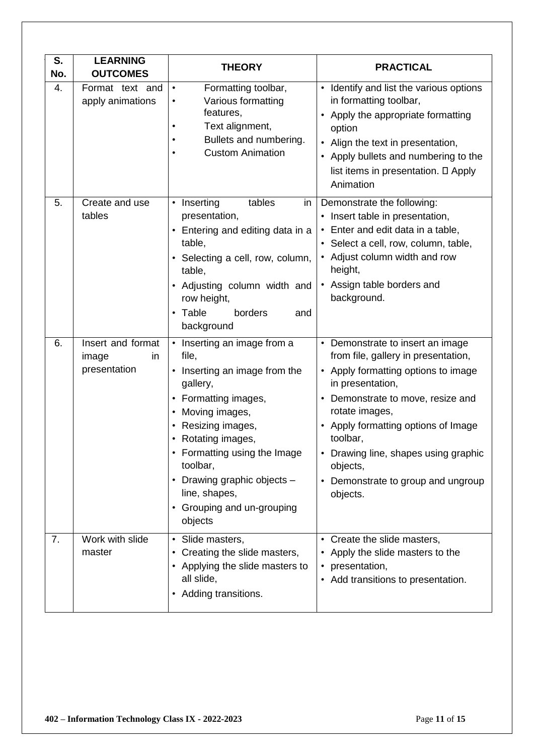| S.<br>No. | <b>LEARNING</b><br><b>OUTCOMES</b>               | <b>THEORY</b>                                                                                                                                                                                                                                                                                                                                          | <b>PRACTICAL</b>                                                                                                                                                                                                                                                                                                                                            |
|-----------|--------------------------------------------------|--------------------------------------------------------------------------------------------------------------------------------------------------------------------------------------------------------------------------------------------------------------------------------------------------------------------------------------------------------|-------------------------------------------------------------------------------------------------------------------------------------------------------------------------------------------------------------------------------------------------------------------------------------------------------------------------------------------------------------|
| 4.        | Format text and<br>apply animations              | Formatting toolbar,<br>$\bullet$<br>Various formatting<br>$\bullet$<br>features,<br>Text alignment,<br>٠<br>Bullets and numbering.<br>$\bullet$<br><b>Custom Animation</b><br>$\bullet$                                                                                                                                                                | • Identify and list the various options<br>in formatting toolbar,<br>• Apply the appropriate formatting<br>option<br>• Align the text in presentation,<br>• Apply bullets and numbering to the<br>list items in presentation. D Apply<br>Animation                                                                                                          |
| 5.        | Create and use<br>tables                         | Inserting<br>tables<br>$\bullet$<br>in<br>presentation,<br>Entering and editing data in a<br>$\bullet$<br>table,<br>• Selecting a cell, row, column,<br>table,<br>• Adjusting column width and<br>row height,<br>• Table<br>borders<br>and<br>background                                                                                               | Demonstrate the following:<br>• Insert table in presentation,<br>• Enter and edit data in a table,<br>• Select a cell, row, column, table,<br>• Adjust column width and row<br>height,<br>• Assign table borders and<br>background.                                                                                                                         |
| 6.        | Insert and format<br>image<br>in<br>presentation | Inserting an image from a<br>$\bullet$<br>file,<br>Inserting an image from the<br>$\bullet$<br>gallery,<br>Formatting images,<br>$\bullet$<br>Moving images,<br>$\bullet$<br>Resizing images,<br>• Rotating images,<br>Formatting using the Image<br>toolbar,<br>• Drawing graphic objects -<br>line, shapes,<br>• Grouping and un-grouping<br>objects | • Demonstrate to insert an image<br>from file, gallery in presentation,<br>• Apply formatting options to image<br>in presentation,<br>• Demonstrate to move, resize and<br>rotate images,<br>• Apply formatting options of Image<br>toolbar,<br>Drawing line, shapes using graphic<br>objects,<br>Demonstrate to group and ungroup<br>$\bullet$<br>objects. |
| 7.        | Work with slide<br>master                        | • Slide masters,<br>Creating the slide masters,<br>$\bullet$<br>• Applying the slide masters to<br>all slide,<br>• Adding transitions.                                                                                                                                                                                                                 | • Create the slide masters,<br>• Apply the slide masters to the<br>• presentation,<br>• Add transitions to presentation.                                                                                                                                                                                                                                    |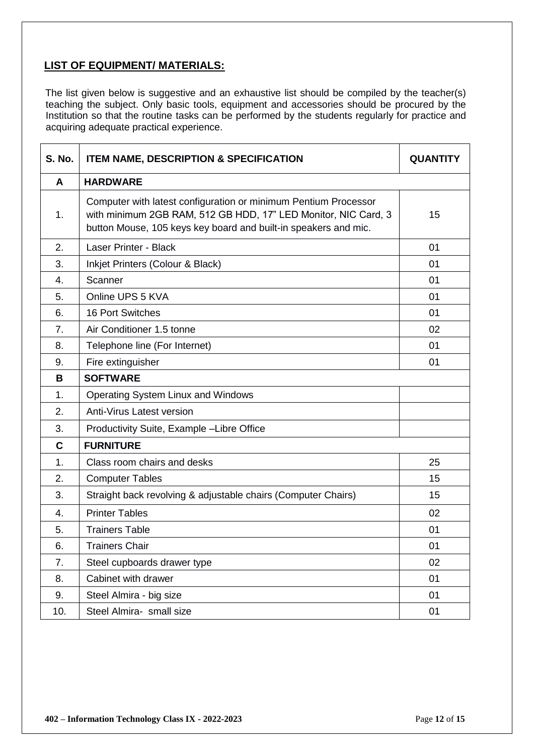### **LIST OF EQUIPMENT/ MATERIALS:**

The list given below is suggestive and an exhaustive list should be compiled by the teacher(s) teaching the subject. Only basic tools, equipment and accessories should be procured by the Institution so that the routine tasks can be performed by the students regularly for practice and acquiring adequate practical experience.

| <b>S. No.</b> | <b>ITEM NAME, DESCRIPTION &amp; SPECIFICATION</b>                                                                                                                                                    | <b>QUANTITY</b> |
|---------------|------------------------------------------------------------------------------------------------------------------------------------------------------------------------------------------------------|-----------------|
| A             | <b>HARDWARE</b>                                                                                                                                                                                      |                 |
| 1.            | Computer with latest configuration or minimum Pentium Processor<br>with minimum 2GB RAM, 512 GB HDD, 17" LED Monitor, NIC Card, 3<br>button Mouse, 105 keys key board and built-in speakers and mic. | 15              |
| 2.            | Laser Printer - Black                                                                                                                                                                                | 01              |
| 3.            | Inkjet Printers (Colour & Black)                                                                                                                                                                     | 01              |
| 4.            | Scanner                                                                                                                                                                                              | 01              |
| 5.            | Online UPS 5 KVA                                                                                                                                                                                     | 01              |
| 6.            | <b>16 Port Switches</b>                                                                                                                                                                              | 01              |
| 7.            | Air Conditioner 1.5 tonne                                                                                                                                                                            | 02              |
| 8.            | Telephone line (For Internet)                                                                                                                                                                        | 01              |
| 9.            | Fire extinguisher                                                                                                                                                                                    | 01              |
| B             | <b>SOFTWARE</b>                                                                                                                                                                                      |                 |
| 1.            | <b>Operating System Linux and Windows</b>                                                                                                                                                            |                 |
| 2.            | Anti-Virus Latest version                                                                                                                                                                            |                 |
| 3.            | Productivity Suite, Example -Libre Office                                                                                                                                                            |                 |
| $\mathbf c$   | <b>FURNITURE</b>                                                                                                                                                                                     |                 |
| 1.            | Class room chairs and desks                                                                                                                                                                          | 25              |
| 2.            | <b>Computer Tables</b>                                                                                                                                                                               | 15              |
| 3.            | Straight back revolving & adjustable chairs (Computer Chairs)                                                                                                                                        | 15              |
| 4.            | <b>Printer Tables</b>                                                                                                                                                                                | 02              |
| 5.            | <b>Trainers Table</b>                                                                                                                                                                                | 01              |
| 6.            | <b>Trainers Chair</b>                                                                                                                                                                                | 01              |
| 7.            | Steel cupboards drawer type                                                                                                                                                                          | 02              |
| 8.            | Cabinet with drawer                                                                                                                                                                                  | 01              |
| 9.            | Steel Almira - big size                                                                                                                                                                              | 01              |
| 10.           | Steel Almira- small size                                                                                                                                                                             | 01              |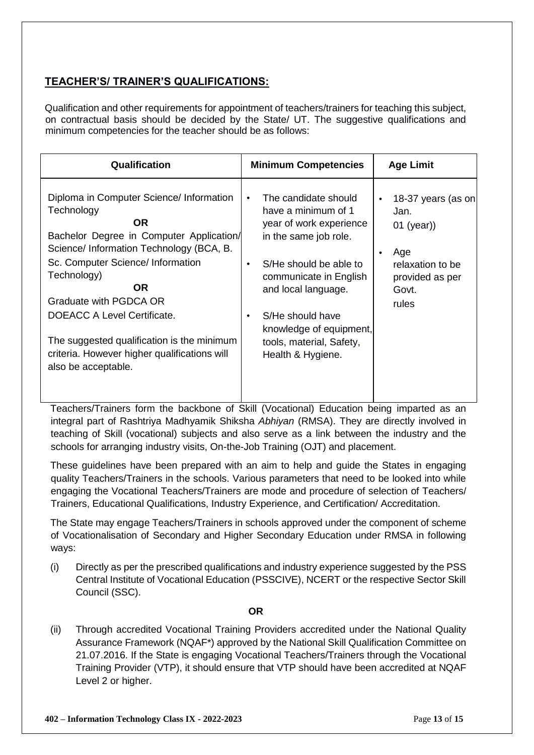### **TEACHER'S/ TRAINER'S QUALIFICATIONS:**

Qualification and other requirements for appointment of teachers/trainers for teaching this subject, on contractual basis should be decided by the State/ UT. The suggestive qualifications and minimum competencies for the teacher should be as follows:

| Qualification                                                                                                                                                                                                                                                                                                                                                                                              | <b>Minimum Competencies</b>                                                                                                                                                                                                                                                                                       | <b>Age Limit</b>                                                                                           |
|------------------------------------------------------------------------------------------------------------------------------------------------------------------------------------------------------------------------------------------------------------------------------------------------------------------------------------------------------------------------------------------------------------|-------------------------------------------------------------------------------------------------------------------------------------------------------------------------------------------------------------------------------------------------------------------------------------------------------------------|------------------------------------------------------------------------------------------------------------|
| Diploma in Computer Science/ Information<br>Technology<br><b>OR</b><br>Bachelor Degree in Computer Application/<br>Science/ Information Technology (BCA, B.<br>Sc. Computer Science/ Information<br>Technology)<br><b>OR</b><br>Graduate with PGDCA OR<br>DOEACC A Level Certificate.<br>The suggested qualification is the minimum<br>criteria. However higher qualifications will<br>also be acceptable. | The candidate should<br>$\bullet$<br>have a minimum of 1<br>year of work experience<br>in the same job role.<br>S/He should be able to<br>$\bullet$<br>communicate in English<br>and local language.<br>S/He should have<br>$\bullet$<br>knowledge of equipment,<br>tools, material, Safety,<br>Health & Hygiene. | 18-37 years (as on<br>Jan.<br>$01$ (year))<br>Age<br>relaxation to be<br>provided as per<br>Govt.<br>rules |

Teachers/Trainers form the backbone of Skill (Vocational) Education being imparted as an integral part of Rashtriya Madhyamik Shiksha *Abhiyan* (RMSA). They are directly involved in teaching of Skill (vocational) subjects and also serve as a link between the industry and the schools for arranging industry visits, On-the-Job Training (OJT) and placement.

These guidelines have been prepared with an aim to help and guide the States in engaging quality Teachers/Trainers in the schools. Various parameters that need to be looked into while engaging the Vocational Teachers/Trainers are mode and procedure of selection of Teachers/ Trainers, Educational Qualifications, Industry Experience, and Certification/ Accreditation.

The State may engage Teachers/Trainers in schools approved under the component of scheme of Vocationalisation of Secondary and Higher Secondary Education under RMSA in following ways:

(i) Directly as per the prescribed qualifications and industry experience suggested by the PSS Central Institute of Vocational Education (PSSCIVE), NCERT or the respective Sector Skill Council (SSC).

#### **OR**

(ii) Through accredited Vocational Training Providers accredited under the National Quality Assurance Framework (NQAF\*) approved by the National Skill Qualification Committee on 21.07.2016. If the State is engaging Vocational Teachers/Trainers through the Vocational Training Provider (VTP), it should ensure that VTP should have been accredited at NQAF Level 2 or higher.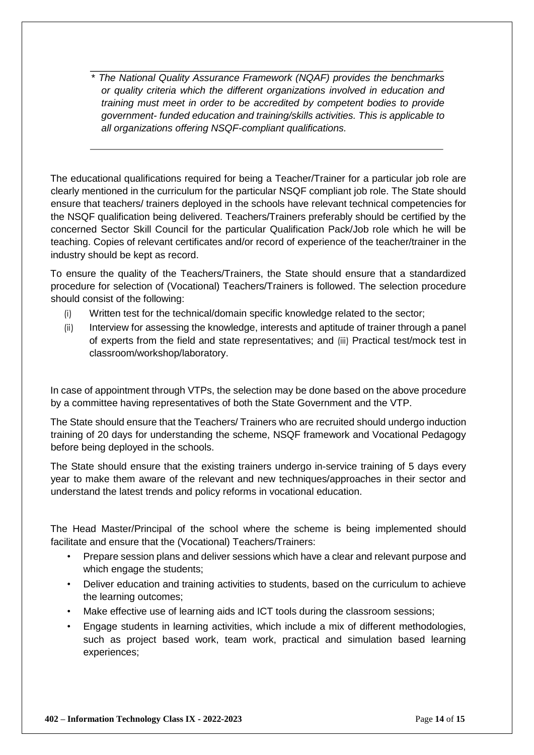\* *The National Quality Assurance Framework (NQAF) provides the benchmarks or quality criteria which the different organizations involved in education and training must meet in order to be accredited by competent bodies to provide government- funded education and training/skills activities. This is applicable to all organizations offering NSQF-compliant qualifications.* 

The educational qualifications required for being a Teacher/Trainer for a particular job role are clearly mentioned in the curriculum for the particular NSQF compliant job role. The State should ensure that teachers/ trainers deployed in the schools have relevant technical competencies for the NSQF qualification being delivered. Teachers/Trainers preferably should be certified by the concerned Sector Skill Council for the particular Qualification Pack/Job role which he will be teaching. Copies of relevant certificates and/or record of experience of the teacher/trainer in the industry should be kept as record.

To ensure the quality of the Teachers/Trainers, the State should ensure that a standardized procedure for selection of (Vocational) Teachers/Trainers is followed. The selection procedure should consist of the following:

- (i) Written test for the technical/domain specific knowledge related to the sector;
- (ii) Interview for assessing the knowledge, interests and aptitude of trainer through a panel of experts from the field and state representatives; and (iii) Practical test/mock test in classroom/workshop/laboratory.

In case of appointment through VTPs, the selection may be done based on the above procedure by a committee having representatives of both the State Government and the VTP.

The State should ensure that the Teachers/ Trainers who are recruited should undergo induction training of 20 days for understanding the scheme, NSQF framework and Vocational Pedagogy before being deployed in the schools.

The State should ensure that the existing trainers undergo in-service training of 5 days every year to make them aware of the relevant and new techniques/approaches in their sector and understand the latest trends and policy reforms in vocational education.

The Head Master/Principal of the school where the scheme is being implemented should facilitate and ensure that the (Vocational) Teachers/Trainers:

- Prepare session plans and deliver sessions which have a clear and relevant purpose and which engage the students;
- Deliver education and training activities to students, based on the curriculum to achieve the learning outcomes;
- Make effective use of learning aids and ICT tools during the classroom sessions;
- Engage students in learning activities, which include a mix of different methodologies, such as project based work, team work, practical and simulation based learning experiences;